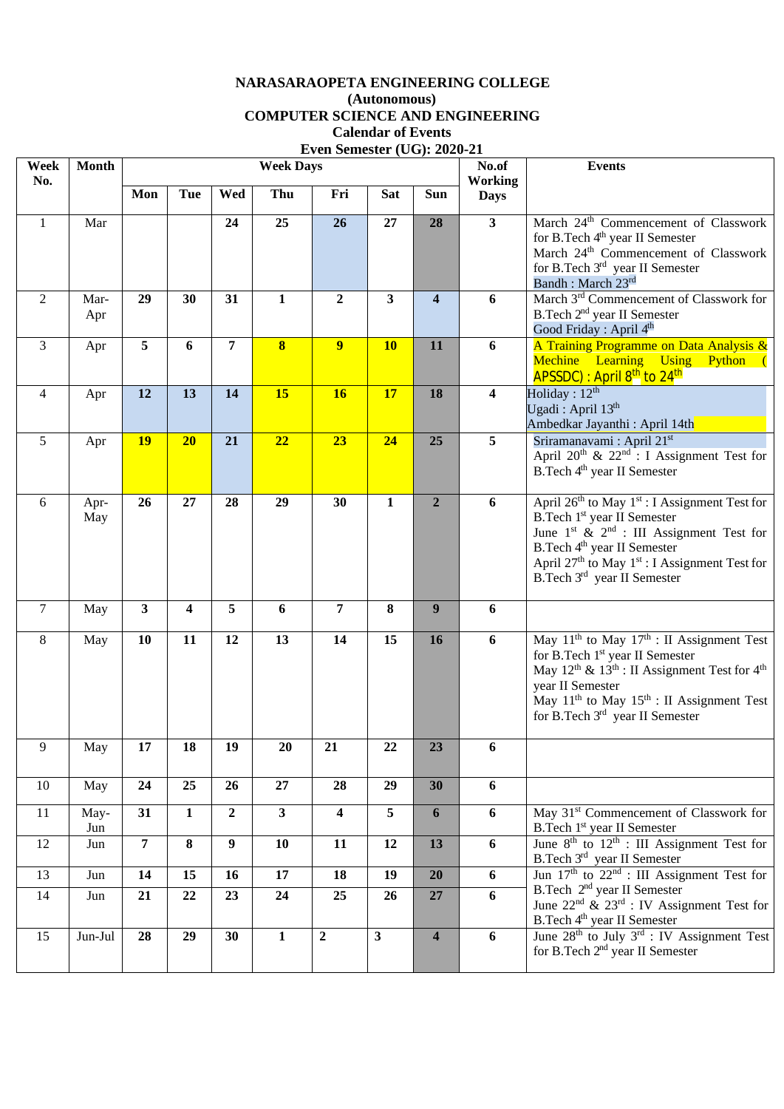## **NARASARAOPETA ENGINEERING COLLEGE (Autonomous) COMPUTER SCIENCE AND ENGINEERING Calendar of Events Even Semester (UG): 2020-21**

| Week           | <b>Month</b> |                |              |                  | <b>Week Days</b>        |                         |              | No.of                   | <b>Events</b>                 |                                                                                                                   |
|----------------|--------------|----------------|--------------|------------------|-------------------------|-------------------------|--------------|-------------------------|-------------------------------|-------------------------------------------------------------------------------------------------------------------|
| No.            |              | Mon            | <b>Tue</b>   | Wed              | Thu                     | Fri                     | <b>Sat</b>   | Sun                     | <b>Working</b><br><b>Days</b> |                                                                                                                   |
|                |              |                |              |                  |                         |                         |              |                         |                               |                                                                                                                   |
| 1              | Mar          |                |              | 24               | 25                      | 26                      | 27           | 28                      | $\overline{\mathbf{3}}$       | March 24 <sup>th</sup> Commencement of Classwork                                                                  |
|                |              |                |              |                  |                         |                         |              |                         |                               | for B.Tech 4 <sup>th</sup> year II Semester<br>March 24 <sup>th</sup> Commencement of Classwork                   |
|                |              |                |              |                  |                         |                         |              |                         |                               | for B.Tech 3rd year II Semester                                                                                   |
|                |              |                |              |                  |                         |                         |              |                         |                               | Bandh: March 23rd                                                                                                 |
| 2              | Mar-         | 29             | 30           | 31               | $\mathbf{1}$            | $\overline{2}$          | 3            | $\overline{\mathbf{4}}$ | 6                             | March 3 <sup>rd</sup> Commencement of Classwork for                                                               |
|                | Apr          |                |              |                  |                         |                         |              |                         |                               | B.Tech 2 <sup>nd</sup> year II Semester<br>Good Friday: April 4 <sup>th</sup>                                     |
| 3              | Apr          | 5              | 6            | 7                | $\overline{\mathbf{8}}$ | 9 <sup>°</sup>          | <b>10</b>    | 11                      | 6                             | A Training Programme on Data Analysis &                                                                           |
|                |              |                |              |                  |                         |                         |              |                         |                               | Mechine Learning Using Python (                                                                                   |
|                |              |                |              |                  |                         |                         |              |                         |                               | APSSDC) : April 8 <sup>th</sup> to 24 <sup>th</sup>                                                               |
| 4              | Apr          | 12             | 13           | 14               | 15                      | <b>16</b>               | 17           | 18                      | 4                             | Holiday: $12^{th}$                                                                                                |
|                |              |                |              |                  |                         |                         |              |                         |                               | Ugadi: April 13 <sup>th</sup>                                                                                     |
| 5              |              | 19             | 20           | 21               | 22                      | 23                      | 24           | 25                      | 5                             | Ambedkar Jayanthi : April 14th<br>Sriramanavami: April 21st                                                       |
|                | Apr          |                |              |                  |                         |                         |              |                         |                               | April 20 <sup>th</sup> & 22 <sup>nd</sup> : I Assignment Test for                                                 |
|                |              |                |              |                  |                         |                         |              |                         |                               | B.Tech 4 <sup>th</sup> year II Semester                                                                           |
|                |              |                |              |                  |                         |                         |              |                         |                               |                                                                                                                   |
| 6              | Apr-         | 26             | 27           | 28               | 29                      | 30                      | $\mathbf{1}$ | $\overline{2}$          | 6                             | April 26 <sup>th</sup> to May 1 <sup>st</sup> : I Assignment Test for                                             |
|                | May          |                |              |                  |                         |                         |              |                         |                               | B.Tech 1 <sup>st</sup> year II Semester<br>June $1^{st}$ & $2^{nd}$ : III Assignment Test for                     |
|                |              |                |              |                  |                         |                         |              |                         |                               | B.Tech 4 <sup>th</sup> year II Semester                                                                           |
|                |              |                |              |                  |                         |                         |              |                         |                               | April 27 <sup>th</sup> to May 1 <sup>st</sup> : I Assignment Test for                                             |
|                |              |                |              |                  |                         |                         |              |                         |                               | B.Tech 3rd year II Semester                                                                                       |
| $\overline{7}$ | May          | 3              | 4            | 5                | 6                       | $\overline{7}$          | 8            | 9                       | 6                             |                                                                                                                   |
|                |              |                |              |                  |                         |                         |              |                         |                               |                                                                                                                   |
| 8              | May          | 10             | 11           | 12               | 13                      | 14                      | 15           | 16                      | 6                             | May $11^{th}$ to May $17^{th}$ : II Assignment Test                                                               |
|                |              |                |              |                  |                         |                         |              |                         |                               | for B.Tech 1 <sup>st</sup> year II Semester<br>May $12^{th}$ & $13^{th}$ : II Assignment Test for $4^{th}$        |
|                |              |                |              |                  |                         |                         |              |                         |                               | year II Semester                                                                                                  |
|                |              |                |              |                  |                         |                         |              |                         |                               | May $11th$ to May $15th$ : II Assignment Test                                                                     |
|                |              |                |              |                  |                         |                         |              |                         |                               | for B.Tech 3rd year II Semester                                                                                   |
| 9              | May          | $17\,$         | 18           | 19               | 20                      | 21                      | 22           | 23                      | 6                             |                                                                                                                   |
|                |              |                |              |                  |                         |                         |              |                         |                               |                                                                                                                   |
| 10             | May          | 24             | 25           | 26               | 27                      | 28                      | 29           | 30                      | 6                             |                                                                                                                   |
| 11             | May-         | 31             | $\mathbf{1}$ | $\overline{2}$   | $\mathbf{3}$            | $\overline{\mathbf{4}}$ | 5            | 6                       | 6                             | May 31 <sup>st</sup> Commencement of Classwork for                                                                |
|                | Jun          |                |              |                  |                         |                         |              |                         |                               | B.Tech 1 <sup>st</sup> year II Semester                                                                           |
| 12             | Jun          | $\overline{7}$ | 8            | $\boldsymbol{9}$ | 10                      | 11                      | 12           | 13                      | 6                             | June $\overline{8^{th}}$ to $12^{th}$ : III Assignment Test for                                                   |
| 13             | Jun          | 14             | 15           | 16               | 17                      | 18                      | 19           | 20                      | 6                             | B.Tech $3rd$ year II Semester<br>Jun $17th$ to $22nd$ : III Assignment Test for                                   |
|                |              |                | 22           |                  | 24                      | 25                      | 26           |                         | 6                             | B.Tech 2 <sup>nd</sup> year II Semester                                                                           |
| 14             | Jun          | 21             |              | 23               |                         |                         |              | 27                      |                               | June $22^{nd}$ & $23^{rd}$ : IV Assignment Test for                                                               |
|                |              |                |              |                  |                         |                         |              |                         |                               | B.Tech 4 <sup>th</sup> year II Semester                                                                           |
| 15             | Jun-Jul      | 28             | 29           | 30               | $\mathbf{1}$            | $\mathbf 2$             | $\mathbf{3}$ | $\overline{\mathbf{4}}$ | 6                             | June 28 <sup>th</sup> to July 3 <sup>rd</sup> : IV Assignment Test<br>for B.Tech 2 <sup>nd</sup> year II Semester |
|                |              |                |              |                  |                         |                         |              |                         |                               |                                                                                                                   |